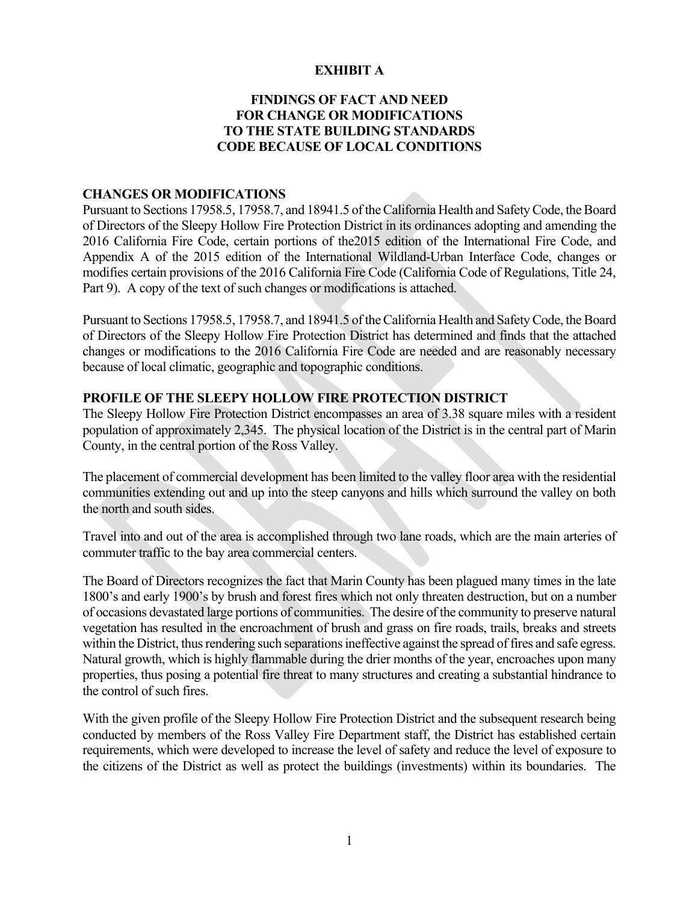### **EXHIBIT A**

## **FINDINGS OF FACT AND NEED FOR CHANGE OR MODIFICATIONS TO THE STATE BUILDING STANDARDS CODE BECAUSE OF LOCAL CONDITIONS**

#### **CHANGES OR MODIFICATIONS**

Pursuant to Sections 17958.5, 17958.7, and 18941.5 of the California Health and Safety Code, the Board of Directors of the Sleepy Hollow Fire Protection District in its ordinances adopting and amending the 2016 California Fire Code, certain portions of the2015 edition of the International Fire Code, and Appendix A of the 2015 edition of the International Wildland-Urban Interface Code, changes or modifies certain provisions of the 2016 California Fire Code (California Code of Regulations, Title 24, Part 9). A copy of the text of such changes or modifications is attached.

Pursuant to Sections 17958.5, 17958.7, and 18941.5 of the California Health and Safety Code, the Board of Directors of the Sleepy Hollow Fire Protection District has determined and finds that the attached changes or modifications to the 2016 California Fire Code are needed and are reasonably necessary because of local climatic, geographic and topographic conditions.

#### **PROFILE OF THE SLEEPY HOLLOW FIRE PROTECTION DISTRICT**

The Sleepy Hollow Fire Protection District encompasses an area of 3.38 square miles with a resident population of approximately 2,345. The physical location of the District is in the central part of Marin County, in the central portion of the Ross Valley.

The placement of commercial development has been limited to the valley floor area with the residential communities extending out and up into the steep canyons and hills which surround the valley on both the north and south sides.

Travel into and out of the area is accomplished through two lane roads, which are the main arteries of commuter traffic to the bay area commercial centers.

The Board of Directors recognizes the fact that Marin County has been plagued many times in the late 1800's and early 1900's by brush and forest fires which not only threaten destruction, but on a number of occasions devastated large portions of communities. The desire of the community to preserve natural vegetation has resulted in the encroachment of brush and grass on fire roads, trails, breaks and streets within the District, thus rendering such separations ineffective against the spread of fires and safe egress. Natural growth, which is highly flammable during the drier months of the year, encroaches upon many properties, thus posing a potential fire threat to many structures and creating a substantial hindrance to the control of such fires.

With the given profile of the Sleepy Hollow Fire Protection District and the subsequent research being conducted by members of the Ross Valley Fire Department staff, the District has established certain requirements, which were developed to increase the level of safety and reduce the level of exposure to the citizens of the District as well as protect the buildings (investments) within its boundaries. The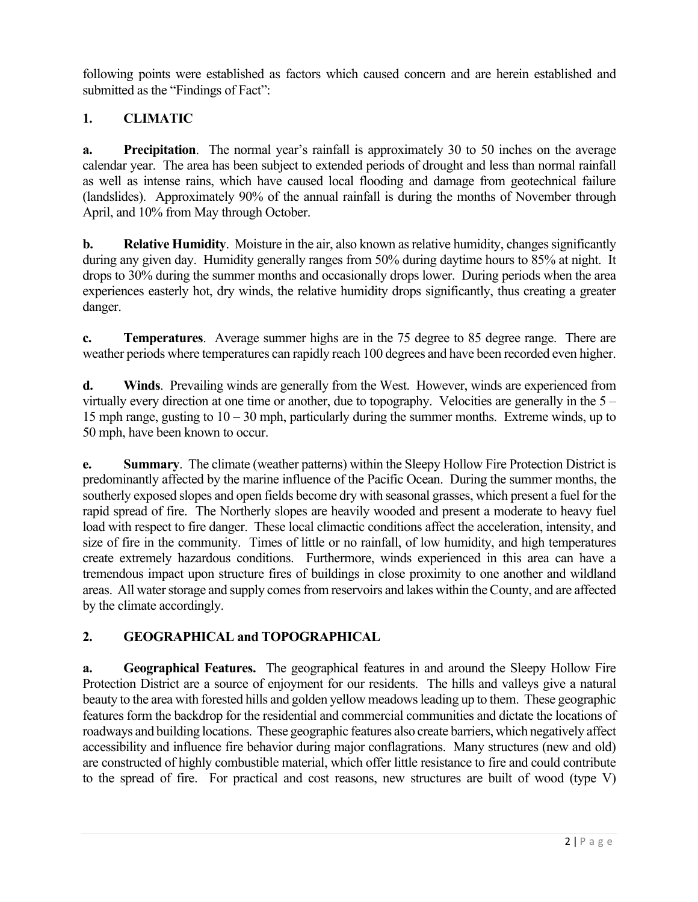following points were established as factors which caused concern and are herein established and submitted as the "Findings of Fact":

# **1. CLIMATIC**

**a. Precipitation**. The normal year's rainfall is approximately 30 to 50 inches on the average calendar year. The area has been subject to extended periods of drought and less than normal rainfall as well as intense rains, which have caused local flooding and damage from geotechnical failure (landslides). Approximately 90% of the annual rainfall is during the months of November through April, and 10% from May through October.

**b. Relative Humidity**. Moisture in the air, also known as relative humidity, changes significantly during any given day. Humidity generally ranges from 50% during daytime hours to 85% at night. It drops to 30% during the summer months and occasionally drops lower. During periods when the area experiences easterly hot, dry winds, the relative humidity drops significantly, thus creating a greater danger.

**c. Temperatures**. Average summer highs are in the 75 degree to 85 degree range. There are weather periods where temperatures can rapidly reach 100 degrees and have been recorded even higher.

**d. Winds**. Prevailing winds are generally from the West. However, winds are experienced from virtually every direction at one time or another, due to topography. Velocities are generally in the 5 – 15 mph range, gusting to 10 – 30 mph, particularly during the summer months. Extreme winds, up to 50 mph, have been known to occur.

**e. Summary**. The climate (weather patterns) within the Sleepy Hollow Fire Protection District is predominantly affected by the marine influence of the Pacific Ocean. During the summer months, the southerly exposed slopes and open fields become dry with seasonal grasses, which present a fuel for the rapid spread of fire. The Northerly slopes are heavily wooded and present a moderate to heavy fuel load with respect to fire danger. These local climactic conditions affect the acceleration, intensity, and size of fire in the community. Times of little or no rainfall, of low humidity, and high temperatures create extremely hazardous conditions. Furthermore, winds experienced in this area can have a tremendous impact upon structure fires of buildings in close proximity to one another and wildland areas. All water storage and supply comes from reservoirs and lakes within the County, and are affected by the climate accordingly.

# **2. GEOGRAPHICAL and TOPOGRAPHICAL**

**a. Geographical Features.** The geographical features in and around the Sleepy Hollow Fire Protection District are a source of enjoyment for our residents. The hills and valleys give a natural beauty to the area with forested hills and golden yellow meadows leading up to them. These geographic features form the backdrop for the residential and commercial communities and dictate the locations of roadways and building locations. These geographic features also create barriers, which negatively affect accessibility and influence fire behavior during major conflagrations. Many structures (new and old) are constructed of highly combustible material, which offer little resistance to fire and could contribute to the spread of fire. For practical and cost reasons, new structures are built of wood (type V)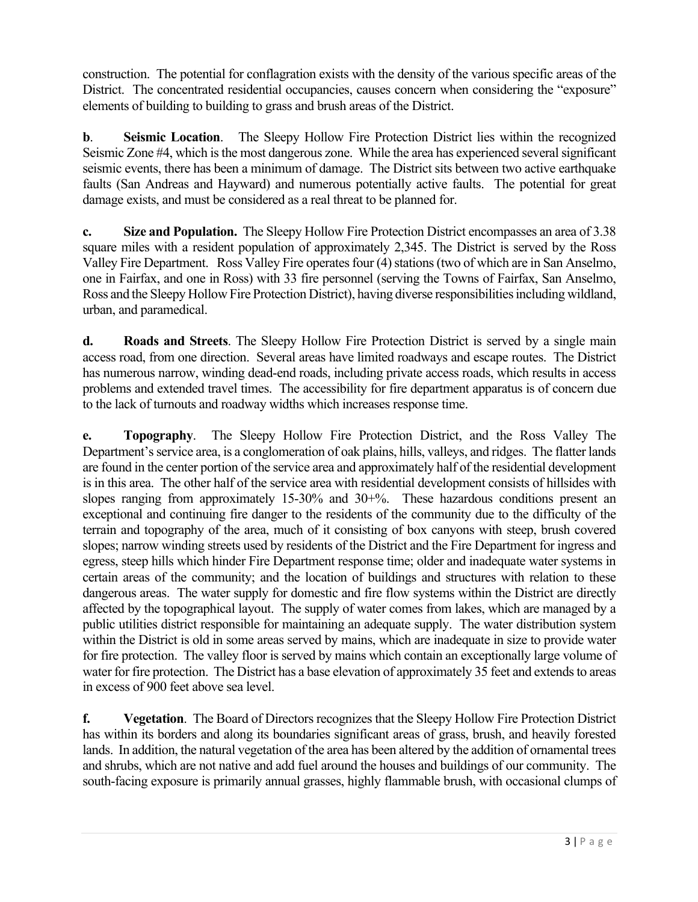construction. The potential for conflagration exists with the density of the various specific areas of the District. The concentrated residential occupancies, causes concern when considering the "exposure" elements of building to building to grass and brush areas of the District.

**b**. **Seismic Location**. The Sleepy Hollow Fire Protection District lies within the recognized Seismic Zone #4, which is the most dangerous zone. While the area has experienced several significant seismic events, there has been a minimum of damage. The District sits between two active earthquake faults (San Andreas and Hayward) and numerous potentially active faults. The potential for great damage exists, and must be considered as a real threat to be planned for.

**c. Size and Population.** The Sleepy Hollow Fire Protection District encompasses an area of 3.38 square miles with a resident population of approximately 2,345. The District is served by the Ross Valley Fire Department. Ross Valley Fire operates four (4) stations (two of which are in San Anselmo, one in Fairfax, and one in Ross) with 33 fire personnel (serving the Towns of Fairfax, San Anselmo, Ross and the Sleepy Hollow Fire Protection District), having diverse responsibilities including wildland, urban, and paramedical.

**d. Roads and Streets**. The Sleepy Hollow Fire Protection District is served by a single main access road, from one direction. Several areas have limited roadways and escape routes. The District has numerous narrow, winding dead-end roads, including private access roads, which results in access problems and extended travel times. The accessibility for fire department apparatus is of concern due to the lack of turnouts and roadway widths which increases response time.

**e. Topography**. The Sleepy Hollow Fire Protection District, and the Ross Valley The Department's service area, is a conglomeration of oak plains, hills, valleys, and ridges. The flatter lands are found in the center portion of the service area and approximately half of the residential development is in this area. The other half of the service area with residential development consists of hillsides with slopes ranging from approximately 15-30% and 30+%. These hazardous conditions present an exceptional and continuing fire danger to the residents of the community due to the difficulty of the terrain and topography of the area, much of it consisting of box canyons with steep, brush covered slopes; narrow winding streets used by residents of the District and the Fire Department for ingress and egress, steep hills which hinder Fire Department response time; older and inadequate water systems in certain areas of the community; and the location of buildings and structures with relation to these dangerous areas. The water supply for domestic and fire flow systems within the District are directly affected by the topographical layout. The supply of water comes from lakes, which are managed by a public utilities district responsible for maintaining an adequate supply. The water distribution system within the District is old in some areas served by mains, which are inadequate in size to provide water for fire protection. The valley floor is served by mains which contain an exceptionally large volume of water for fire protection. The District has a base elevation of approximately 35 feet and extends to areas in excess of 900 feet above sea level.

**f. Vegetation**. The Board of Directors recognizes that the Sleepy Hollow Fire Protection District has within its borders and along its boundaries significant areas of grass, brush, and heavily forested lands. In addition, the natural vegetation of the area has been altered by the addition of ornamental trees and shrubs, which are not native and add fuel around the houses and buildings of our community. The south-facing exposure is primarily annual grasses, highly flammable brush, with occasional clumps of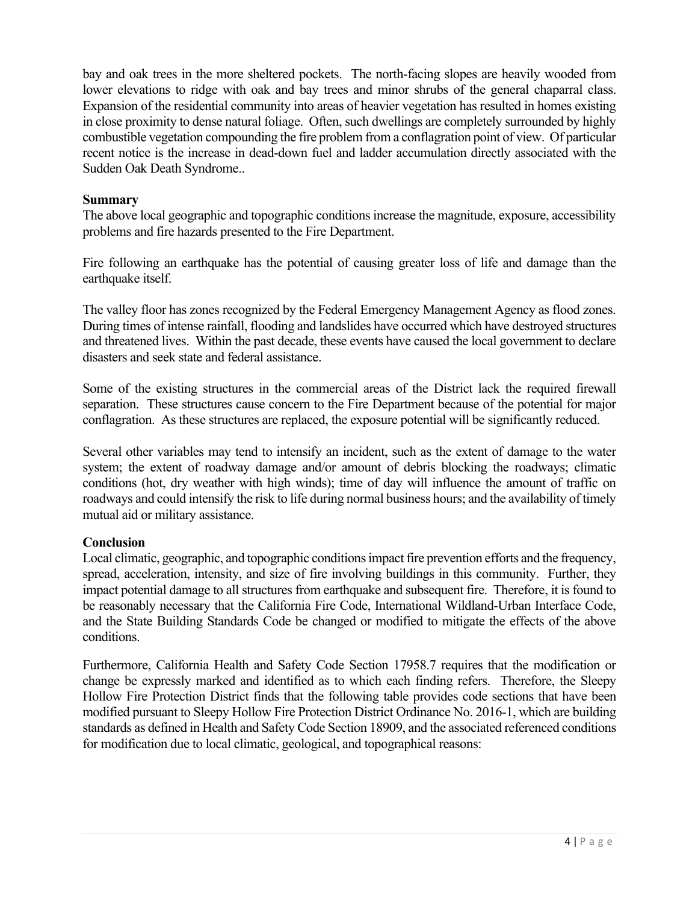bay and oak trees in the more sheltered pockets. The north-facing slopes are heavily wooded from lower elevations to ridge with oak and bay trees and minor shrubs of the general chaparral class. Expansion of the residential community into areas of heavier vegetation has resulted in homes existing in close proximity to dense natural foliage. Often, such dwellings are completely surrounded by highly combustible vegetation compounding the fire problem from a conflagration point of view. Of particular recent notice is the increase in dead-down fuel and ladder accumulation directly associated with the Sudden Oak Death Syndrome..

## **Summary**

The above local geographic and topographic conditions increase the magnitude, exposure, accessibility problems and fire hazards presented to the Fire Department.

Fire following an earthquake has the potential of causing greater loss of life and damage than the earthquake itself.

The valley floor has zones recognized by the Federal Emergency Management Agency as flood zones. During times of intense rainfall, flooding and landslides have occurred which have destroyed structures and threatened lives. Within the past decade, these events have caused the local government to declare disasters and seek state and federal assistance.

Some of the existing structures in the commercial areas of the District lack the required firewall separation. These structures cause concern to the Fire Department because of the potential for major conflagration. As these structures are replaced, the exposure potential will be significantly reduced.

Several other variables may tend to intensify an incident, such as the extent of damage to the water system; the extent of roadway damage and/or amount of debris blocking the roadways; climatic conditions (hot, dry weather with high winds); time of day will influence the amount of traffic on roadways and could intensify the risk to life during normal business hours; and the availability of timely mutual aid or military assistance.

# **Conclusion**

Local climatic, geographic, and topographic conditions impact fire prevention efforts and the frequency, spread, acceleration, intensity, and size of fire involving buildings in this community. Further, they impact potential damage to all structures from earthquake and subsequent fire. Therefore, it is found to be reasonably necessary that the California Fire Code, International Wildland-Urban Interface Code, and the State Building Standards Code be changed or modified to mitigate the effects of the above conditions.

Furthermore, California Health and Safety Code Section 17958.7 requires that the modification or change be expressly marked and identified as to which each finding refers. Therefore, the Sleepy Hollow Fire Protection District finds that the following table provides code sections that have been modified pursuant to Sleepy Hollow Fire Protection District Ordinance No. 2016-1, which are building standards as defined in Health and Safety Code Section 18909, and the associated referenced conditions for modification due to local climatic, geological, and topographical reasons: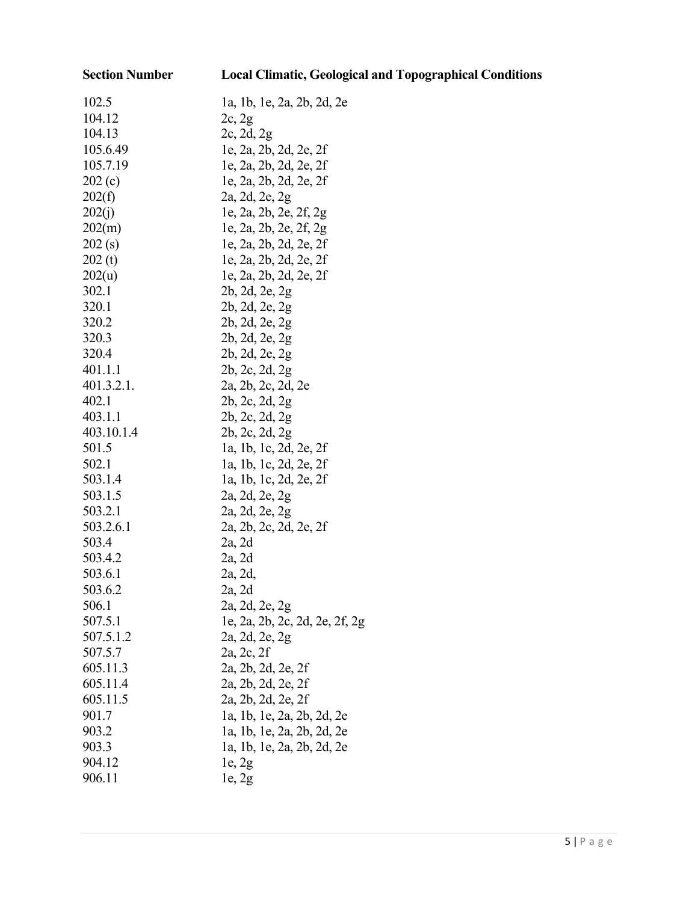**Section Number Local Climatic, Geological and Topographical Conditions**

| 102.5      | la, 1b, 1e, 2a, 2b, 2d, 2e     |
|------------|--------------------------------|
| 104.12     | 2c, 2g                         |
| 104.13     | 2c, 2d, 2g                     |
| 105.6.49   | le, 2a, 2b, 2d, 2e, 2f         |
| 105.7.19   | le, 2a, 2b, 2d, 2e, 2f         |
| 202(c)     | le, 2a, 2b, 2d, 2e, 2f         |
| 202(f)     | 2a, 2d, 2e, 2g                 |
| 202(j)     | le, 2a, 2b, 2e, 2f, 2g         |
| 202(m)     | le, 2a, 2b, 2e, 2f, 2g         |
| 202(s)     | le, 2a, 2b, 2d, 2e, 2f         |
| 202(t)     | le, 2a, 2b, 2d, 2e, 2f         |
| 202(u)     | le, 2a, 2b, 2d, 2e, 2f         |
| 302.1      | 2b, 2d, 2e, 2g                 |
| 320.1      | 2b, 2d, 2e, 2g                 |
| 320.2      | 2b, 2d, 2e, 2g                 |
| 320.3      | 2b, 2d, 2e, 2g                 |
| 320.4      | 2b, 2d, 2e, 2g                 |
| 401.1.1    | 2b, 2c, 2d, 2g                 |
| 401.3.2.1. | 2a, 2b, 2c, 2d, 2e             |
| 402.1      | 2b, 2c, 2d, 2g                 |
| 403.1.1    | 2b, 2c, 2d, 2g                 |
| 403.10.1.4 | 2b, 2c, 2d, 2g                 |
| 501.5      | la, 1b, 1c, 2d, 2e, 2f         |
| 502.1      | la, 1b, 1c, 2d, 2e, 2f         |
| 503.1.4    | la, 1b, 1c, 2d, 2e, 2f         |
| 503.1.5    | 2a, 2d, 2e, 2g                 |
| 503.2.1    | 2a, 2d, 2e, 2g                 |
| 503.2.6.1  | 2a, 2b, 2c, 2d, 2e, 2f         |
| 503.4      | 2a, 2d                         |
| 503.4.2    | 2a, 2d                         |
| 503.6.1    | 2a, 2d,                        |
| 503.6.2    | 2a, 2d                         |
| 506.1      | 2a, 2d, 2e, 2g                 |
| 507.5.1    | le, 2a, 2b, 2c, 2d, 2e, 2f, 2g |
| 507.5.1.2  | 2a, 2d, 2e, 2g                 |
| 507.5.7    | 2a, 2c, 2f                     |
| 605.11.3   | 2a, 2b, 2d, 2e, 2f             |
| 605.11.4   | 2a, 2b, 2d, 2e, 2f             |
| 605.11.5   | 2a, 2b, 2d, 2e, 2f             |
| 901.7      | la, 1b, 1e, 2a, 2b, 2d, 2e     |
| 903.2      | la, 1b, 1e, 2a, 2b, 2d, 2e     |
| 903.3      | 1a, 1b, 1e, 2a, 2b, 2d, 2e     |
| 904.12     | $l$ e, 2g                      |
| 906.11     | 1e, 2g                         |